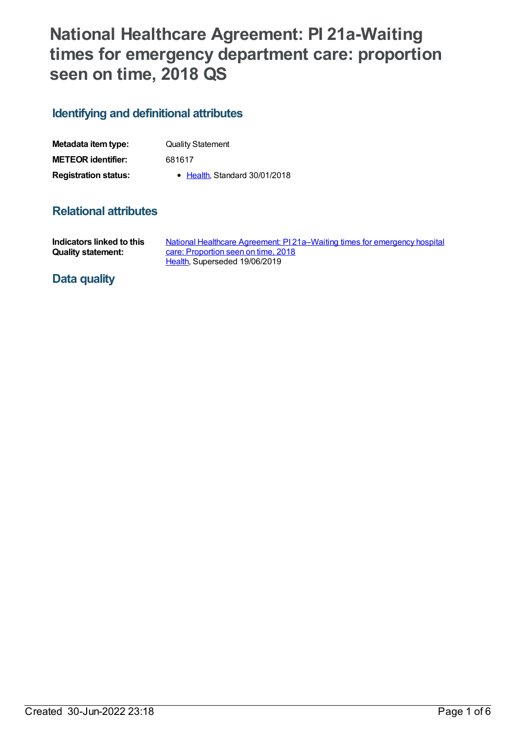# **National Healthcare Agreement: PI 21a-Waiting times for emergency department care: proportion seen on time, 2018 QS**

## **Identifying and definitional attributes**

| Metadata item type:         | <b>Quality Statement</b>     |
|-----------------------------|------------------------------|
| <b>METEOR identifier:</b>   | 681617                       |
| <b>Registration status:</b> | • Health Standard 30/01/2018 |

## **Relational attributes**

| Indicators linked to this | National Healthcare Agreement: P121a–Waiting times for emergency hospital |
|---------------------------|---------------------------------------------------------------------------|
| <b>Quality statement:</b> | care: Proportion seen on time, 2018                                       |
|                           | Health, Superseded 19/06/2019                                             |

## **Data quality**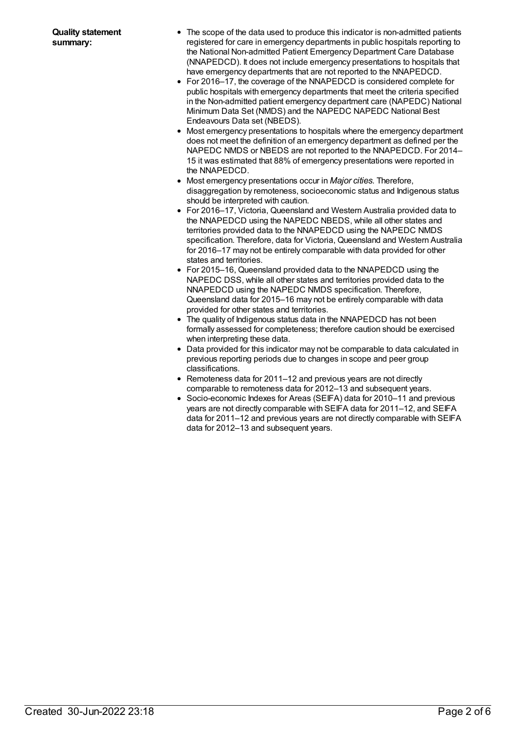- The scope of the data used to produce this indicator is non-admitted patients registered for care in emergency departments in public hospitals reporting to the National Non-admitted Patient Emergency Department Care Database (NNAPEDCD). It does not include emergency presentations to hospitals that have emergency departments that are not reported to the NNAPEDCD.
- For 2016–17, the coverage of the NNAPEDCD is considered complete for public hospitals with emergency departments that meet the criteria specified in the Non-admitted patient emergency department care (NAPEDC) National Minimum Data Set (NMDS) and the NAPEDC NAPEDC National Best Endeavours Data set (NBEDS).
- Most emergency presentations to hospitals where the emergency department does not meet the definition of an emergency department as defined per the NAPEDC NMDS or NBEDS are not reported to the NNAPEDCD. For 2014– 15 it was estimated that 88% of emergency presentations were reported in the NNAPEDCD.
- Most emergency presentations occur in *Major cities*. Therefore, disaggregation by remoteness, socioeconomic status and Indigenous status should be interpreted with caution.
- For 2016–17, Victoria, Queensland and Western Australia provided data to the NNAPEDCD using the NAPEDC NBEDS, while all other states and territories provided data to the NNAPEDCD using the NAPEDC NMDS specification. Therefore, data for Victoria, Queensland and Western Australia for 2016–17 may not be entirely comparable with data provided for other states and territories.
- For 2015–16, Queensland provided data to the NNAPEDCD using the NAPEDC DSS, while all other states and territories provided data to the NNAPEDCD using the NAPEDC NMDS specification. Therefore, Queensland data for 2015–16 may not be entirely comparable with data provided for other states and territories.
- The quality of Indigenous status data in the NNAPEDCD has not been formally assessed for completeness; therefore caution should be exercised when interpreting these data.
- Data provided for this indicator may not be comparable to data calculated in previous reporting periods due to changes in scope and peer group classifications.
- Remoteness data for 2011–12 and previous years are not directly comparable to remoteness data for 2012–13 and subsequent years.
- Socio-economic Indexes for Areas (SEIFA) data for 2010–11 and previous years are not directly comparable with SEIFA data for 2011–12, and SEIFA data for 2011–12 and previous years are not directly comparable with SEIFA data for 2012–13 and subsequent years.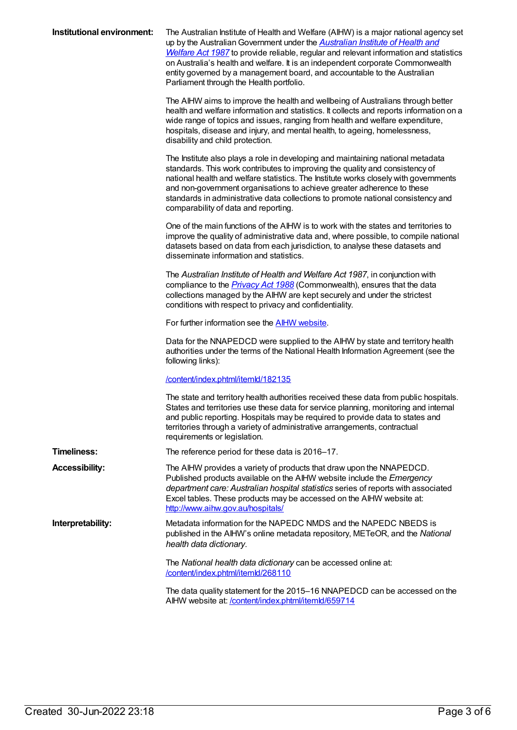| Institutional environment: | The Australian Institute of Health and Welfare (AIHW) is a major national agency set<br>up by the Australian Government under the <b>Australian Institute of Health and</b><br>Welfare Act 1987 to provide reliable, regular and relevant information and statistics<br>on Australia's health and welfare. It is an independent corporate Commonwealth<br>entity governed by a management board, and accountable to the Australian<br>Parliament through the Health portfolio. |
|----------------------------|--------------------------------------------------------------------------------------------------------------------------------------------------------------------------------------------------------------------------------------------------------------------------------------------------------------------------------------------------------------------------------------------------------------------------------------------------------------------------------|
|                            | The AIHW aims to improve the health and wellbeing of Australians through better<br>health and welfare information and statistics. It collects and reports information on a<br>wide range of topics and issues, ranging from health and welfare expenditure,<br>hospitals, disease and injury, and mental health, to ageing, homelessness,<br>disability and child protection.                                                                                                  |
|                            | The Institute also plays a role in developing and maintaining national metadata<br>standards. This work contributes to improving the quality and consistency of<br>national health and welfare statistics. The Institute works closely with governments<br>and non-government organisations to achieve greater adherence to these<br>standards in administrative data collections to promote national consistency and<br>comparability of data and reporting.                  |
|                            | One of the main functions of the AIHW is to work with the states and territories to<br>improve the quality of administrative data and, where possible, to compile national<br>datasets based on data from each jurisdiction, to analyse these datasets and<br>disseminate information and statistics.                                                                                                                                                                          |
|                            | The Australian Institute of Health and Welfare Act 1987, in conjunction with<br>compliance to the <i>Privacy Act 1988</i> (Commonwealth), ensures that the data<br>collections managed by the AIHW are kept securely and under the strictest<br>conditions with respect to privacy and confidentiality.                                                                                                                                                                        |
|                            | For further information see the <b>AIHW</b> website.                                                                                                                                                                                                                                                                                                                                                                                                                           |
|                            | Data for the NNAPEDCD were supplied to the AIHW by state and territory health<br>authorities under the terms of the National Health Information Agreement (see the<br>following links):                                                                                                                                                                                                                                                                                        |
|                            | /content/index.phtml/itemld/182135                                                                                                                                                                                                                                                                                                                                                                                                                                             |
|                            | The state and territory health authorities received these data from public hospitals.<br>States and territories use these data for service planning, monitoring and internal<br>and public reporting. Hospitals may be required to provide data to states and<br>territories through a variety of administrative arrangements, contractual<br>requirements or legislation.                                                                                                     |
| <b>Timeliness:</b>         | The reference period for these data is 2016-17.                                                                                                                                                                                                                                                                                                                                                                                                                                |
| <b>Accessibility:</b>      | The AIHW provides a variety of products that draw upon the NNAPEDCD.<br>Published products available on the AIHW website include the Emergency<br>department care: Australian hospital statistics series of reports with associated<br>Excel tables. These products may be accessed on the AIHW website at:<br>http://www.aihw.gov.au/hospitals/                                                                                                                               |
| Interpretability:          | Metadata information for the NAPEDC NMDS and the NAPEDC NBEDS is<br>published in the AIHW's online metadata repository, METeOR, and the National<br>health data dictionary.                                                                                                                                                                                                                                                                                                    |
|                            | The National health data dictionary can be accessed online at:<br>/content/index.phtml/itemld/268110                                                                                                                                                                                                                                                                                                                                                                           |
|                            | The data quality statement for the 2015–16 NNAPEDCD can be accessed on the<br>AIHW website at: /content/index.phtml/itemld/659714                                                                                                                                                                                                                                                                                                                                              |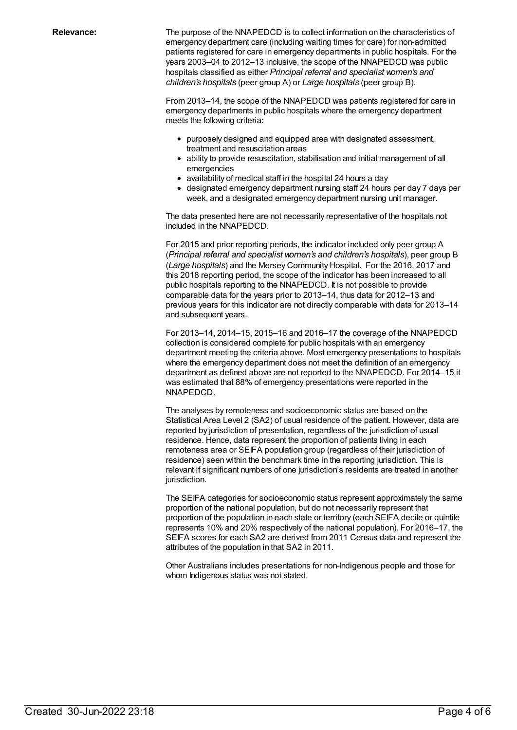**Relevance:** The purpose of the NNAPEDCD is to collect information on the characteristics of emergency department care (including waiting times for care) for non-admitted patients registered for care in emergency departments in public hospitals. For the years 2003–04 to 2012–13 inclusive, the scope of the NNAPEDCD was public hospitals classified as either *Principal referral and specialist women's and children's hospitals* (peer group A) or *Large hospitals* (peer group B).

> From 2013–14, the scope of the NNAPEDCD was patients registered for care in emergency departments in public hospitals where the emergency department meets the following criteria:

- purposely designed and equipped area with designated assessment, treatment and resuscitation areas
- ability to provide resuscitation, stabilisation and initial management of all emergencies
- availability of medical staff in the hospital 24 hours a day
- designated emergency department nursing staff 24 hours per day 7 days per week, and a designated emergency department nursing unit manager.

The data presented here are not necessarily representative of the hospitals not included in the NNAPEDCD.

For 2015 and prior reporting periods, the indicator included only peer group A (*Principal referral and specialist women's and children's hospitals*), peer group B (*Large hospitals*) and the Mersey Community Hospital. For the 2016, 2017 and this 2018 reporting period, the scope of the indicator has been increased to all public hospitals reporting to the NNAPEDCD. It is not possible to provide comparable data for the years prior to 2013–14, thus data for 2012–13 and previous years for this indicator are not directly comparable with data for 2013–14 and subsequent years.

For 2013–14, 2014–15, 2015–16 and 2016–17 the coverage of the NNAPEDCD collection is considered complete for public hospitals with an emergency department meeting the criteria above. Most emergency presentations to hospitals where the emergency department does not meet the definition of an emergency department as defined above are not reported to the NNAPEDCD. For 2014–15 it was estimated that 88% of emergency presentations were reported in the NNAPEDCD.

The analyses by remoteness and socioeconomic status are based on the Statistical Area Level 2 (SA2) of usual residence of the patient. However, data are reported by jurisdiction of presentation, regardless of the jurisdiction of usual residence. Hence, data represent the proportion of patients living in each remoteness area or SEIFA population group (regardless of their jurisdiction of residence) seen within the benchmark time in the reporting jurisdiction. This is relevant if significant numbers of one jurisdiction's residents are treated in another jurisdiction.

The SEIFA categories for socioeconomic status represent approximately the same proportion of the national population, but do not necessarily represent that proportion of the population in each state or territory (each SEIFA decile or quintile represents 10% and 20% respectively of the national population). For 2016–17, the SEIFA scores for each SA2 are derived from 2011 Census data and represent the attributes of the population in that SA2 in 2011.

Other Australians includes presentations for non-Indigenous people and those for whom Indigenous status was not stated.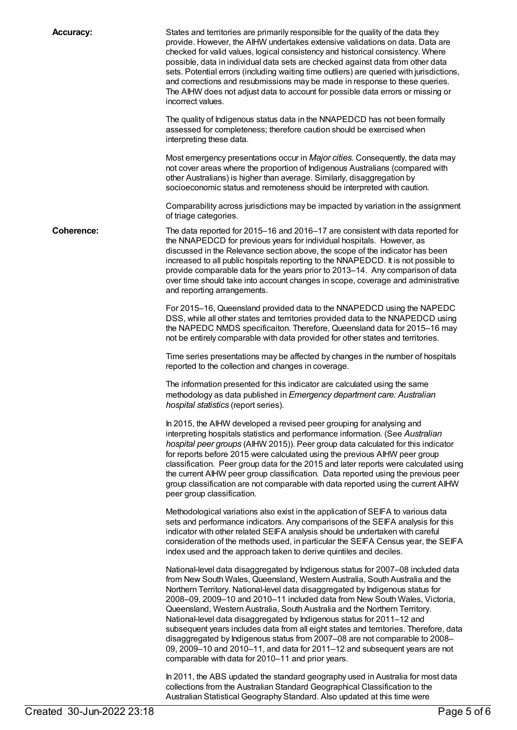**Accuracy:** States and territories are primarily responsible for the quality of the data they provide. However, the AIHW undertakes extensive validations on data. Data are checked for valid values, logical consistency and historical consistency. Where possible, data in individual data sets are checked against data from other data sets. Potential errors (including waiting time outliers) are queried with jurisdictions, and corrections and resubmissions may be made in response to these queries. The AIHW does not adjust data to account for possible data errors or missing or incorrect values.

> The quality of Indigenous status data in the NNAPEDCD has not been formally assessed for completeness; therefore caution should be exercised when interpreting these data.

Most emergency presentations occur in *Major cities*. Consequently, the data may not cover areas where the proportion of Indigenous Australians (compared with other Australians) is higher than average. Similarly, disaggregation by socioeconomic status and remoteness should be interpreted with caution.

Comparability across jurisdictions may be impacted by variation in the assignment of triage categories.

**Coherence:** The data reported for 2015–16 and 2016–17 are consistent with data reported for the NNAPEDCD for previous years for individual hospitals. However, as discussed in the Relevance section above, the scope of the indicator has been increased to all public hospitals reporting to the NNAPEDCD. It is not possible to provide comparable data for the years prior to 2013–14. Any comparison of data over time should take into account changes in scope, coverage and administrative and reporting arrangements.

> For 2015–16, Queensland provided data to the NNAPEDCD using the NAPEDC DSS, while all other states and territories provided data to the NNAPEDCD using the NAPEDC NMDS specificaiton. Therefore, Queensland data for 2015–16 may not be entirely comparable with data provided for other states and territories.

> Time series presentations may be affected by changes in the number of hospitals reported to the collection and changes in coverage.

The information presented for this indicator are calculated using the same methodology as data published in *Emergency department care: Australian hospital statistics* (report series).

In 2015, the AIHW developed a revised peer grouping for analysing and interpreting hospitals statistics and performance information. (See *Australian hospital peer groups* (AIHW 2015)). Peer group data calculated for this indicator for reports before 2015 were calculated using the previous AIHW peer group classification. Peer group data for the 2015 and later reports were calculated using the current AIHW peer group classification. Data reported using the previous peer group classification are not comparable with data reported using the current AIHW peer group classification.

Methodological variations also exist in the application of SEIFA to various data sets and performance indicators. Any comparisons of the SEIFA analysis for this indicator with other related SEIFA analysis should be undertaken with careful consideration of the methods used, in particular the SEIFA Census year, the SEIFA index used and the approach taken to derive quintiles and deciles.

National-level data disaggregated by Indigenous status for 2007–08 included data from New South Wales, Queensland, Western Australia, South Australia and the Northern Territory. National-level data disaggregated by Indigenous status for 2008–09, 2009–10 and 2010–11 included data from New South Wales, Victoria, Queensland, Western Australia, South Australia and the Northern Territory. National-level data disaggregated by Indigenous status for 2011–12 and subsequent years includes data from all eight states and territories. Therefore, data disaggregated by Indigenous status from 2007–08 are not comparable to 2008– 09, 2009–10 and 2010–11, and data for 2011–12 and subsequent years are not comparable with data for 2010–11 and prior years.

In 2011, the ABS updated the standard geography used in Australia for most data collections from the Australian Standard Geographical Classification to the Australian Statistical Geography Standard. Also updated at this time were